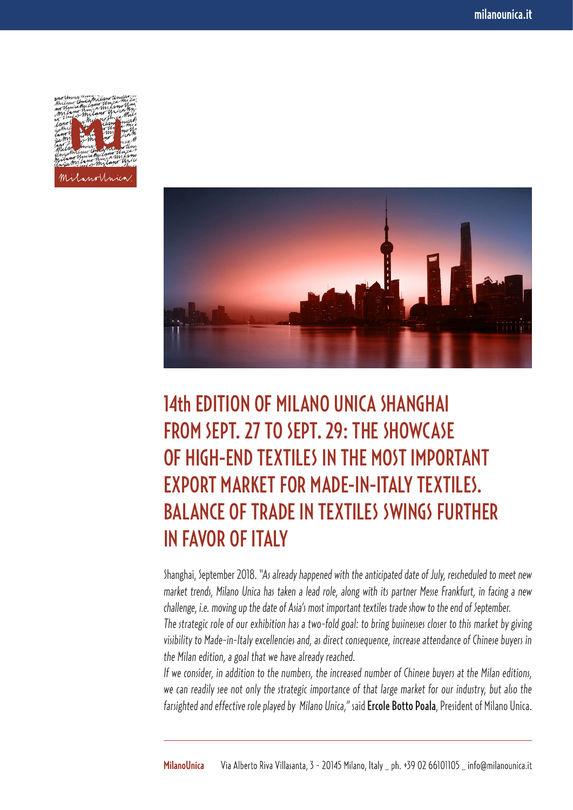



## 14th EDITION OF MILANO UNICA SHANGHAI FROM SEPT. 27 TO SEPT. 29: THE SHOWCASE OF HIGH-END TEXTILES IN THE MOST IMPORTANT EXPORT MARKET FOR MADE-IN-ITALY TEXTILES. BALANCE OF TRADE IN TEXTILES SWINGS FURTHER IN FAVOR OF ITALY

Shanghai, September 2018. "*As already happened with the anticipated date of July, rescheduled to meet new market trends, Milano Unica has taken a lead role, along with its partner Messe Frankfurt, in facing a new challenge, i.e. moving up the date of Asia's most important textiles trade show to the end of September. The strategic role of our exhibition has a two-fold goal: to bring businesses closer to this market by giving visibility to Made-in-Italy excellencies and, as direct consequence, increase attendance of Chinese buyers in* 

*the Milan edition, a goal that we have already reached. If we consider, in addition to the numbers, the increased number of Chinese buyers at the Milan editions, we can readily see not only the strategic importance of that large market for our industry, but also the* 

*farsighted and effective role played by Milano Unica,"* said Ercole Botto Poala, President of Milano Unica.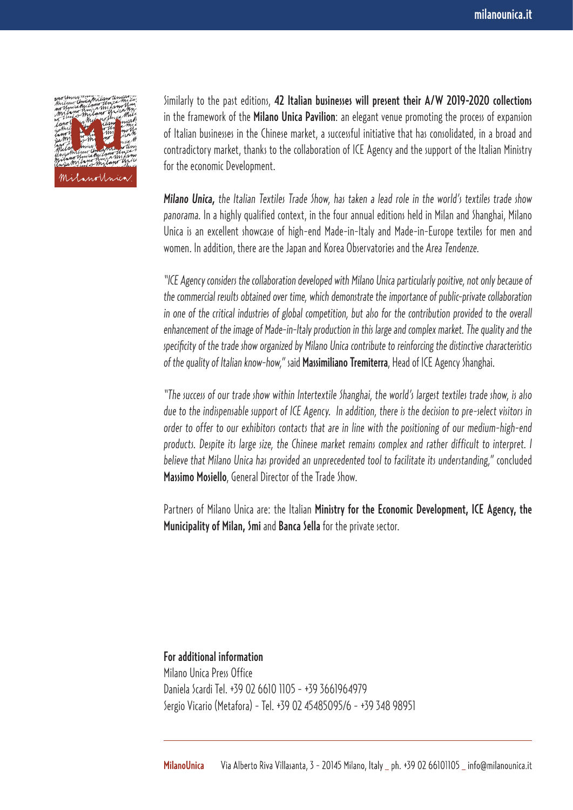

Similarly to the past editions, 42 Italian businesses will present their A/W 2019-2020 collections in the framework of the **Milano Unica Pavilion**: an elegant venue promoting the process of expansion of Italian businesses in the Chinese market, a successful initiative that has consolidated, in a broad and contradictory market, thanks to the collaboration of ICE Agency and the support of the Italian Ministry for the economic Development.

*Milano Unica, the Italian Textiles Trade Show, has taken a lead role in the world's textiles trade show panorama.* In a highly qualified context, in the four annual editions held in Milan and Shanghai, Milano Unica is an excellent showcase of high-end Made-in-Italy and Made-in-Europe textiles for men and women. In addition, there are the Japan and Korea Observatories and the *Area Tendenze*.

*"ICE Agency considers the collaboration developed with Milano Unica particularly positive, not only because of the commercial results obtained over time, which demonstrate the importance of public-private collaboration*  in one of the critical industries of global competition, but also for the contribution provided to the overall *enhancement of the image of Made-in-Italy production in this large and complex market. The quality and the specificity of the trade show organized by Milano Unica contribute to reinforcing the distinctive characteristics of the quality of Italian know-how,"* said Massimiliano Tremiterra, Head of ICE Agency Shanghai.

*"The success of our trade show within Intertextile Shanghai, the world's largest textiles trade show, is also due to the indispensable support of ICE Agency. In addition, there is the decision to pre-select visitors in order to offer to our exhibitors contacts that are in line with the positioning of our medium-high-end products. Despite its large size, the Chinese market remains complex and rather difficult to interpret. I believe that Milano Unica has provided an unprecedented tool to facilitate its understanding,"* concluded Massimo Mosiello, General Director of the Trade Show.

Partners of Milano Unica are: the Italian Ministry for the Economic Development, ICE Agency, the Municipality of Milan, Smi and Banca Sella for the private sector.

For additional information Milano Unica Press Office Daniela Scardi Tel. +39 02 6610 1105 - +39 3661964979 Sergio Vicario (Metafora) - Tel. +39 02 45485095/6 - +39 348 98951